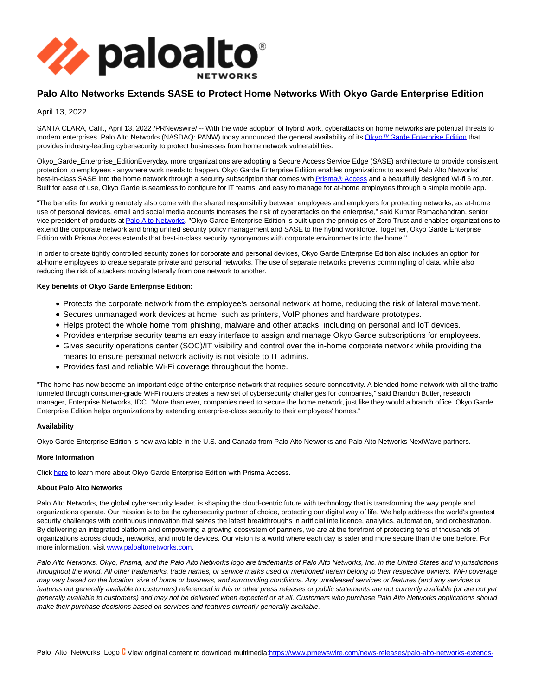

# **Palo Alto Networks Extends SASE to Protect Home Networks With Okyo Garde Enterprise Edition**

## April 13, 2022

SANTA CLARA, Calif., April 13, 2022 /PRNewswire/ -- With the wide adoption of hybrid work, cyberattacks on home networks are potential threats to modern enterprises. Palo Alto Networks (NASDAQ: PANW) today announced the general availability of it[s Okyo™ Garde Enterprise Edition t](https://www.paloaltonetworks.com/okyo)hat provides industry-leading cybersecurity to protect businesses from home network vulnerabilities.

Okyo\_Garde\_Enterprise\_EditionEveryday, more organizations are adopting a Secure Access Service Edge (SASE) architecture to provide consistent protection to employees - anywhere work needs to happen. Okyo Garde Enterprise Edition enables organizations to extend Palo Alto Networks' best-in-class SASE into the home network through a security subscription that comes with **Prisma® Access** and a beautifully designed Wi-fi 6 router. Built for ease of use, Okyo Garde is seamless to configure for IT teams, and easy to manage for at-home employees through a simple mobile app.

"The benefits for working remotely also come with the shared responsibility between employees and employers for protecting networks, as at-home use of personal devices, email and social media accounts increases the risk of cyberattacks on the enterprise," said Kumar Ramachandran, senior vice president of products a[t Palo Alto Networks.](https://www.paloaltonetworks.com/) "Okyo Garde Enterprise Edition is built upon the principles of Zero Trust and enables organizations to extend the corporate network and bring unified security policy management and SASE to the hybrid workforce. Together, Okyo Garde Enterprise Edition with Prisma Access extends that best-in-class security synonymous with corporate environments into the home."

In order to create tightly controlled security zones for corporate and personal devices, Okyo Garde Enterprise Edition also includes an option for at-home employees to create separate private and personal networks. The use of separate networks prevents commingling of data, while also reducing the risk of attackers moving laterally from one network to another.

#### **Key benefits of Okyo Garde Enterprise Edition:**

- Protects the corporate network from the employee's personal network at home, reducing the risk of lateral movement.
- Secures unmanaged work devices at home, such as printers, VoIP phones and hardware prototypes.
- Helps protect the whole home from phishing, malware and other attacks, including on personal and IoT devices.
- Provides enterprise security teams an easy interface to assign and manage Okyo Garde subscriptions for employees.
- Gives security operations center (SOC)/IT visibility and control over the in-home corporate network while providing the means to ensure personal network activity is not visible to IT admins.
- Provides fast and reliable Wi-Fi coverage throughout the home.

''The home has now become an important edge of the enterprise network that requires secure connectivity. A blended home network with all the traffic funneled through consumer-grade Wi-Fi routers creates a new set of cybersecurity challenges for companies," said Brandon Butler, research manager, Enterprise Networks, IDC. "More than ever, companies need to secure the home network, just like they would a branch office. Okyo Garde Enterprise Edition helps organizations by extending enterprise-class security to their employees' homes.''

## **Availability**

Okyo Garde Enterprise Edition is now available in the U.S. and Canada from Palo Alto Networks and Palo Alto Networks NextWave partners.

## **More Information**

Clic[k here t](https://www.paloaltonetworks.com/blog/2022/04/as-flexible-as-your-hybrid-workforce)o learn more about Okyo Garde Enterprise Edition with Prisma Access.

#### **About Palo Alto Networks**

Palo Alto Networks, the global cybersecurity leader, is shaping the cloud-centric future with technology that is transforming the way people and organizations operate. Our mission is to be the cybersecurity partner of choice, protecting our digital way of life. We help address the world's greatest security challenges with continuous innovation that seizes the latest breakthroughs in artificial intelligence, analytics, automation, and orchestration. By delivering an integrated platform and empowering a growing ecosystem of partners, we are at the forefront of protecting tens of thousands of organizations across clouds, networks, and mobile devices. Our vision is a world where each day is safer and more secure than the one before. For more information, visit [www.paloaltonetworks.com.](http://www.paloaltonetworks.com/)

Palo Alto Networks, Okyo, Prisma, and the Palo Alto Networks logo are trademarks of Palo Alto Networks, Inc. in the United States and in jurisdictions throughout the world. All other trademarks, trade names, or service marks used or mentioned herein belong to their respective owners. WiFi coverage may vary based on the location, size of home or business, and surrounding conditions. Any unreleased services or features (and any services or features not generally available to customers) referenced in this or other press releases or public statements are not currently available (or are not yet generally available to customers) and may not be delivered when expected or at all. Customers who purchase Palo Alto Networks applications should make their purchase decisions based on services and features currently generally available.